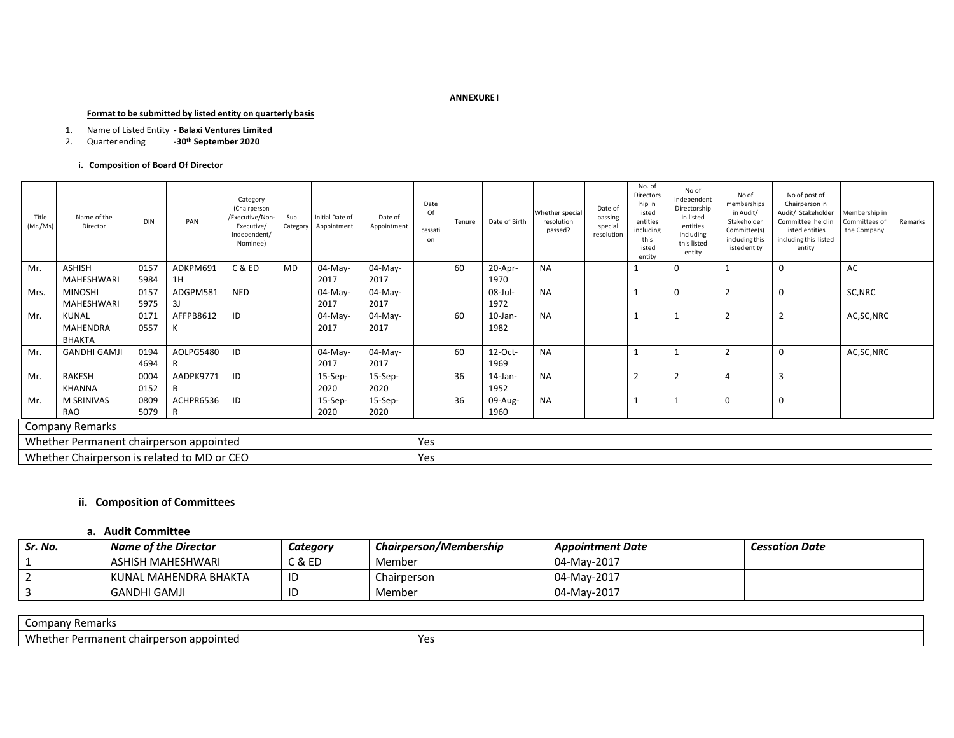#### **ANNEXURE I**

#### **Format to be submitted by listed entity on quarterly basis**

# 1. Name of Listed Entity **- Balaxi Ventures Limited**

### 2. Quarter ending -**30th September 2020**

## **i. Composition of Board Of Director**

| Title<br>(Mr./Ms)                       | Name of the<br>Director                     | <b>DIN</b> | PAN       | Category<br>(Chairperson<br>/Executive/Non-<br>Executive/<br>Independent/<br>Nominee) | Sub<br>Category | Initial Date of<br>Appointment | Date of<br>Appointment | Date<br>Of<br>cessati<br>on | Tenure | Date of Birth | Whether special<br>resolution<br>passed? | Date of<br>passing<br>special<br>resolution | No. of<br>Directors<br>hip in<br>listed<br>entities<br>including<br>this<br>listed<br>entity | No of<br>Independent<br>Directorship<br>in listed<br>entities<br>including<br>this listed<br>entity | No of<br>memberships<br>in Audit/<br>Stakeholder<br>Committee(s)<br>including this<br>listed entity | No of post of<br>Chairperson in<br>Audit/ Stakeholder<br>Committee held in<br>listed entities<br>including this listed<br>entity | Membership in<br>Committees of<br>the Company | Remarks |
|-----------------------------------------|---------------------------------------------|------------|-----------|---------------------------------------------------------------------------------------|-----------------|--------------------------------|------------------------|-----------------------------|--------|---------------|------------------------------------------|---------------------------------------------|----------------------------------------------------------------------------------------------|-----------------------------------------------------------------------------------------------------|-----------------------------------------------------------------------------------------------------|----------------------------------------------------------------------------------------------------------------------------------|-----------------------------------------------|---------|
| Mr.                                     | <b>ASHISH</b>                               | 0157       | ADKPM691  | C & ED                                                                                | MD              | 04-May-                        | 04-May-                |                             | 60     | 20-Apr-       | <b>NA</b>                                |                                             | 1                                                                                            | $\Omega$                                                                                            |                                                                                                     | $\Omega$                                                                                                                         | AC                                            |         |
|                                         | MAHESHWARI                                  | 5984       | 1H        |                                                                                       |                 | 2017                           | 2017                   |                             |        | 1970          |                                          |                                             |                                                                                              |                                                                                                     |                                                                                                     |                                                                                                                                  |                                               |         |
| Mrs.                                    | <b>MINOSHI</b>                              | 0157       | ADGPM581  | <b>NED</b>                                                                            |                 | 04-May-                        | 04-May-                |                             |        | 08-Jul-       | <b>NA</b>                                |                                             | $\mathbf{1}$                                                                                 |                                                                                                     | 2                                                                                                   | 0                                                                                                                                | SC, NRC                                       |         |
|                                         | MAHESHWARI                                  | 5975       | 3J        |                                                                                       |                 | 2017                           | 2017                   |                             |        | 1972          |                                          |                                             |                                                                                              |                                                                                                     |                                                                                                     |                                                                                                                                  |                                               |         |
| Mr.                                     | <b>KUNAL</b>                                | 0171       | AFFPB8612 | ID                                                                                    |                 | 04-May-                        | 04-May-                |                             | 60     | $10$ -Jan-    | <b>NA</b>                                |                                             |                                                                                              |                                                                                                     | $\overline{2}$                                                                                      |                                                                                                                                  | AC, SC, NRC                                   |         |
|                                         | MAHENDRA                                    | 0557       | К         |                                                                                       |                 | 2017                           | 2017                   |                             |        | 1982          |                                          |                                             |                                                                                              |                                                                                                     |                                                                                                     |                                                                                                                                  |                                               |         |
|                                         | <b>BHAKTA</b>                               |            |           |                                                                                       |                 |                                |                        |                             |        |               |                                          |                                             |                                                                                              |                                                                                                     |                                                                                                     |                                                                                                                                  |                                               |         |
| Mr.                                     | <b>GANDHI GAMJI</b>                         | 0194       | AOLPG5480 | ID                                                                                    |                 | 04-May-                        | 04-May-                |                             | 60     | 12-Oct-       | <b>NA</b>                                |                                             | $\mathbf{1}$                                                                                 |                                                                                                     | 2                                                                                                   | 0                                                                                                                                | AC, SC, NRC                                   |         |
|                                         |                                             | 4694       |           |                                                                                       |                 | 2017                           | 2017                   |                             |        | 1969          |                                          |                                             |                                                                                              |                                                                                                     |                                                                                                     |                                                                                                                                  |                                               |         |
| Mr.                                     | <b>RAKESH</b>                               | 0004       | AADPK9771 | ID                                                                                    |                 | $15-Sep-$                      | $15-Sep-$              |                             | 36     | $14$ -Jan-    | <b>NA</b>                                |                                             | $\overline{2}$                                                                               | $\overline{2}$                                                                                      | 4                                                                                                   | $\overline{3}$                                                                                                                   |                                               |         |
|                                         | KHANNA                                      | 0152       | B         |                                                                                       |                 | 2020                           | 2020                   |                             |        | 1952          |                                          |                                             |                                                                                              |                                                                                                     |                                                                                                     |                                                                                                                                  |                                               |         |
| Mr.                                     | <b>M SRINIVAS</b>                           | 0809       | ACHPR6536 | ID                                                                                    |                 | $15-Sep-$                      | $15-Sep-$              |                             | 36     | 09-Aug-       | <b>NA</b>                                |                                             | $\mathbf{1}$                                                                                 |                                                                                                     | $\mathbf{0}$                                                                                        | 0                                                                                                                                |                                               |         |
|                                         | <b>RAO</b>                                  | 5079       | R         |                                                                                       |                 | 2020                           | 2020                   |                             |        | 1960          |                                          |                                             |                                                                                              |                                                                                                     |                                                                                                     |                                                                                                                                  |                                               |         |
|                                         | Company Remarks                             |            |           |                                                                                       |                 |                                |                        |                             |        |               |                                          |                                             |                                                                                              |                                                                                                     |                                                                                                     |                                                                                                                                  |                                               |         |
| Whether Permanent chairperson appointed |                                             |            |           |                                                                                       | Yes             |                                |                        |                             |        |               |                                          |                                             |                                                                                              |                                                                                                     |                                                                                                     |                                                                                                                                  |                                               |         |
|                                         | Whether Chairperson is related to MD or CEO |            |           |                                                                                       |                 |                                |                        | Yes                         |        |               |                                          |                                             |                                                                                              |                                                                                                     |                                                                                                     |                                                                                                                                  |                                               |         |

# **ii. Composition of Committees**

## **a. Audit Committee**

| Sr. No. | <b>Name of the Director</b> | Category | Chairperson/Membership | <b>Appointment Date</b> | <b>Cessation Date</b> |
|---------|-----------------------------|----------|------------------------|-------------------------|-----------------------|
|         | ASHISH MAHESHWARI           | C & ED   | Member                 | 04-May-2017             |                       |
|         | KUNAL MAHENDRA BHAKTA       | ID       | Chairperson            | 04-May-2017             |                       |
|         | GANDHI GAMJI                | -ID      | Member                 | 04-May-2017             |                       |

| – Remarks<br>Company                                          |              |
|---------------------------------------------------------------|--------------|
| MM<br>i appointed<br>Darm<br>⊮rner<br>anent chai<br>ו או<br>. | $V_{\Omega}$ |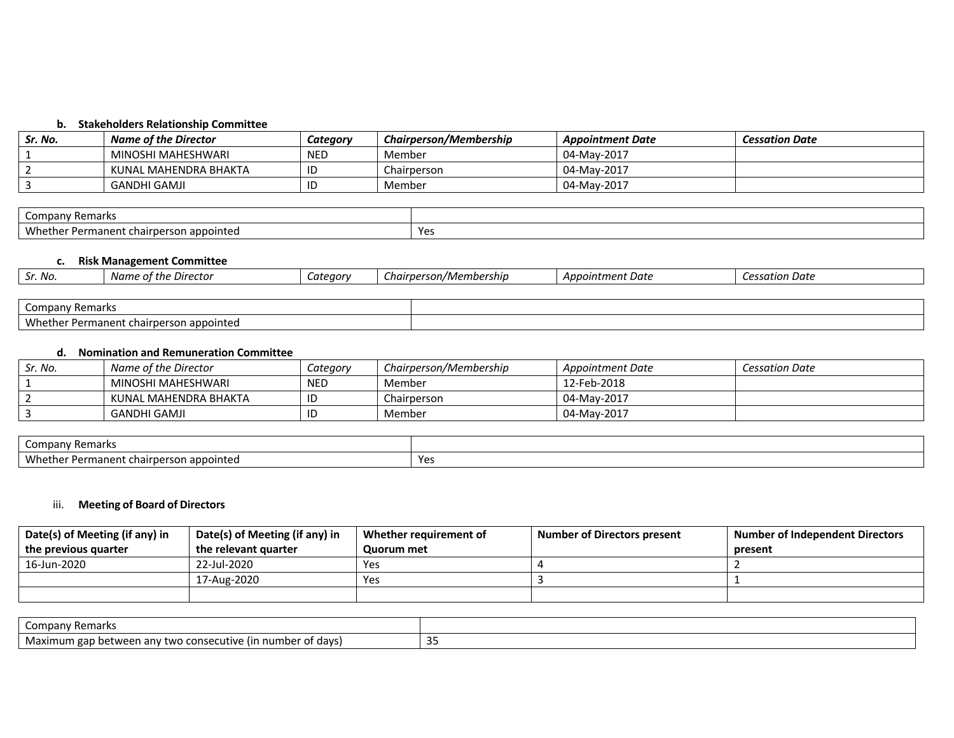# **b. Stakeholders Relationship Committee**

| Sr. No. | <b>Name of the Director</b> | Category   | Chairperson/Membership | <b>Appointment Date</b> | <b>Cessation Date</b> |
|---------|-----------------------------|------------|------------------------|-------------------------|-----------------------|
|         | MINOSHI MAHESHWARI          | <b>NED</b> | Member                 | 04-May-2017             |                       |
|         | KUNAL MAHENDRA BHAKTA       |            | Chairperson            | 04-May-2017             |                       |
|         | <b>GANDHI GAMJI</b>         |            | Member                 | 04-May-2017             |                       |

| / Remarks<br>Company                                           |                   |
|----------------------------------------------------------------|-------------------|
| Whether.<br>n appointed<br>armanent cridings.<br>S<br>w<br>JV. | $V_{\alpha}$<br>. |

# **c. Risk Management Committee**

| Sr. No.         | Name of the Director                    | Category | Chairperson/Membership | Appointment Date | Cessation Date |
|-----------------|-----------------------------------------|----------|------------------------|------------------|----------------|
|                 |                                         |          |                        |                  |                |
| Company Remarks |                                         |          |                        |                  |                |
|                 | Whether Permanent chairperson appointed |          |                        |                  |                |

# **d. Nomination and Remuneration Committee**

| Sr. No. | Name of the Director  | Category   | Chairperson/Membership | Appointment Date | <b>Cessation Date</b> |
|---------|-----------------------|------------|------------------------|------------------|-----------------------|
|         | MINOSHI MAHESHWARI    | <b>NED</b> | Member                 | 12-Feb-2018      |                       |
|         | KUNAL MAHENDRA BHAKTA | ID         | Chairperson            | 04-May-2017      |                       |
|         | <b>GANDHI GAMJI</b>   | ID         | Member                 | 04-May-2017      |                       |

| Remarks<br>mpany.<br>ັບ                                      |                   |
|--------------------------------------------------------------|-------------------|
| Whet.<br>appointed<br>Permanent<br>son<br>"hairbers<br>ulle: | $V_{\alpha}$<br>. |

# iii. **Meeting of Board of Directors**

| Date(s) of Meeting (if any) in | Date(s) of Meeting (if any) in | Whether requirement of | <b>Number of Directors present</b> | <b>Number of Independent Directors</b> |
|--------------------------------|--------------------------------|------------------------|------------------------------------|----------------------------------------|
| the previous quarter           | the relevant quarter           | Quorum met             |                                    | present                                |
| 16-Jun-2020                    | 22-Jul-2020                    | Yes                    |                                    |                                        |
|                                | 17-Aug-2020                    | Yes                    |                                    |                                        |
|                                |                                |                        |                                    |                                        |

| ' Remarks<br>company                                                                                             |           |
|------------------------------------------------------------------------------------------------------------------|-----------|
| Mavim.<br>umber of days).<br>Maximum<br>. LIF<br>twc<br>hatwaan<br>anv<br>√∶ons<br>uuv.<br>∶L VV I<br>eau<br>. . | ъ.<br>ر ر |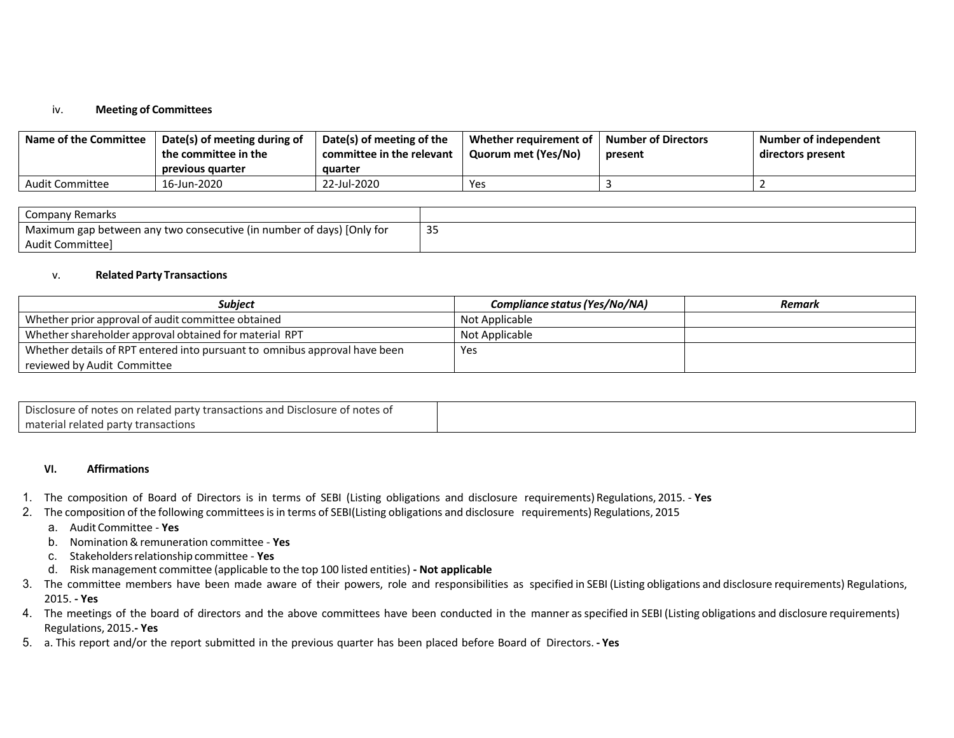# iv. **Meeting of Committees**

| <b>Name of the Committee</b> | Date(s) of meeting during of<br>the committee in the<br>previous quarter | Date(s) of meeting of the<br>committee in the relevant<br>auarter | Whether requirement of<br>Quorum met (Yes/No) | Number of Directors<br>present | Number of independent<br>directors present |
|------------------------------|--------------------------------------------------------------------------|-------------------------------------------------------------------|-----------------------------------------------|--------------------------------|--------------------------------------------|
| Audit Committee              | 16-Jun-2020                                                              | 22-Jul-2020                                                       | Yes                                           |                                |                                            |

| <b>Company Remarks</b>                                                 |    |
|------------------------------------------------------------------------|----|
| 'Maximum gap between any two consecutive (in number of days) [Only for | 35 |
| Audit Committee                                                        |    |

## v. **Related Party Transactions**

| <b>Subiect</b>                                                             | Compliance status (Yes/No/NA) | Remark |
|----------------------------------------------------------------------------|-------------------------------|--------|
| Whether prior approval of audit committee obtained                         | Not Applicable                |        |
| Whether shareholder approval obtained for material RPT                     | Not Applicable                |        |
| Whether details of RPT entered into pursuant to omnibus approval have been | Yes                           |        |
| reviewed by Audit Committee                                                |                               |        |

| Disclosure of notes on related party transactions and Disclosure of notes of |  |
|------------------------------------------------------------------------------|--|
| material related party transactions                                          |  |

# **VI. Affirmations**

- 1. The composition of Board of Directors is in terms of SEBI (Listing obligations and disclosure requirements) Regulations, 2015. **Yes**
- 2. The composition of the following committeesisin terms of SEBI(Listing obligations and disclosure requirements) Regulations, 2015
	- a. Audit Committee **Yes**
	- b. Nomination&remuneration committee **Yes**
	- c. Stakeholdersrelationship committee **Yes**
	- d. Risk management committee (applicable to the top 100 listed entities) **- Not applicable**
- 3. The committee members have been made aware of their powers, role and responsibilities as specified in SEBI (Listing obligations and disclosure requirements) Regulations, 2015. **- Yes**
- 4. The meetings of the board of directors and the above committees have been conducted in the manner asspecified in SEBI (Listing obligations and disclosure requirements) Regulations, 2015.**- Yes**
- 5. a. This report and/or the report submitted in the previous quarter has been placed before Board of Directors. **- Yes**